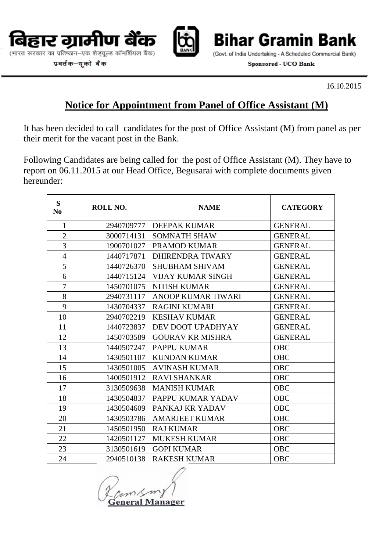

(भारत सरकार का प्रतिष्ठान–एक शेड़यूल्ड कॉमर्शियल बैंक)

प्रवर्तक-यूको बैंक

**Bihar Gramin** Bank

(Govt. of India Undertaking - A Scheduled Commercial Bank) **Sponsored - UCO Bank** 

16.10.2015

# **Notice for Appointment from Panel of Office Assistant (M)**

It has been decided to call candidates for the post of Office Assistant (M) from panel as per their merit for the vacant post in the Bank.

Following Candidates are being called for the post of Office Assistant (M). They have to report on 06.11.2015 at our Head Office, Begusarai with complete documents given hereunder:

| S<br>N <sub>0</sub> | ROLL NO.   | <b>NAME</b>               | <b>CATEGORY</b> |
|---------------------|------------|---------------------------|-----------------|
| 1                   | 2940709777 | <b>DEEPAK KUMAR</b>       | <b>GENERAL</b>  |
| $\overline{2}$      | 3000714131 | <b>SOMNATH SHAW</b>       | <b>GENERAL</b>  |
| 3                   | 1900701027 | PRAMOD KUMAR              | <b>GENERAL</b>  |
| $\overline{4}$      | 1440717871 | DHIRENDRA TIWARY          | <b>GENERAL</b>  |
| 5                   | 1440726370 | <b>SHUBHAM SHIVAM</b>     | <b>GENERAL</b>  |
| 6                   | 1440715124 | <b>VIJAY KUMAR SINGH</b>  | <b>GENERAL</b>  |
| $\overline{7}$      | 1450701075 | <b>NITISH KUMAR</b>       | <b>GENERAL</b>  |
| 8                   | 2940731117 | <b>ANOOP KUMAR TIWARI</b> | <b>GENERAL</b>  |
| 9                   | 1430704337 | <b>RAGINI KUMARI</b>      | <b>GENERAL</b>  |
| 10                  | 2940702219 | <b>KESHAV KUMAR</b>       | <b>GENERAL</b>  |
| 11                  | 1440723837 | DEV DOOT UPADHYAY         | <b>GENERAL</b>  |
| 12                  | 1450703589 | <b>GOURAV KR MISHRA</b>   | <b>GENERAL</b>  |
| 13                  | 1440507247 | PAPPU KUMAR               | <b>OBC</b>      |
| 14                  | 1430501107 | <b>KUNDAN KUMAR</b>       | <b>OBC</b>      |
| 15                  | 1430501005 | <b>AVINASH KUMAR</b>      | <b>OBC</b>      |
| 16                  | 1400501912 | <b>RAVI SHANKAR</b>       | <b>OBC</b>      |
| 17                  | 3130509638 | <b>MANISH KUMAR</b>       | <b>OBC</b>      |
| 18                  | 1430504837 | PAPPU KUMAR YADAV         | <b>OBC</b>      |
| 19                  | 1430504609 | PANKAJ KR YADAV           | <b>OBC</b>      |
| 20                  | 1430503786 | <b>AMARJEET KUMAR</b>     | <b>OBC</b>      |
| 21                  | 1450501950 | <b>RAJ KUMAR</b>          | <b>OBC</b>      |
| 22                  | 1420501127 | <b>MUKESH KUMAR</b>       | <b>OBC</b>      |
| 23                  | 3130501619 | <b>GOPI KUMAR</b>         | <b>OBC</b>      |
| 24                  | 2940510138 | <b>RAKESH KUMAR</b>       | <b>OBC</b>      |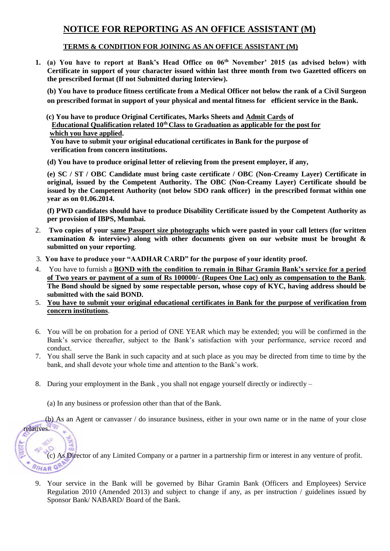## **NOTICE FOR REPORTING AS AN OFFICE ASSISTANT (M)**

#### **TERMS & CONDITION FOR JOINING AS AN OFFICE ASSISTANT (M)**

**1. (a) You have to report at Bank's Head Office on 06th November' 2015 (as advised below) with Certificate in support of your character issued within last three month from two Gazetted officers on the prescribed format (If not Submitted during Interview).**

**(b) You have to produce fitness certificate from a Medical Officer not below the rank of a Civil Surgeon on prescribed format in support of your physical and mental fitness for efficient service in the Bank.**

 **(c) You have to produce Original Certificates, Marks Sheets and Admit Cards of Educational Qualification related 10th Class to Graduation as applicable for the post for which you have applied.** 

 **You have to submit your original educational certificates in Bank for the purpose of verification from concern institutions.** 

**(d) You have to produce original letter of relieving from the present employer, if any,**

**(e) SC / ST / OBC Candidate must bring caste certificate / OBC (Non-Creamy Layer) Certificate in original, issued by the Competent Authority. The OBC (Non-Creamy Layer) Certificate should be issued by the Competent Authority (not below SDO rank officer) in the prescribed format within one year as on 01.06.2014.**

**(f) PWD candidates should have to produce Disability Certificate issued by the Competent Authority as per provision of IBPS, Mumbai.**

- 2. **Two copies of your same Passport size photographs which were pasted in your call letters (for written examination & interview) along with other documents given on our website must be brought & submitted on your reporting**.
- 3. **You have to produce your "AADHAR CARD" for the purpose of your identity proof.**
- 4. You have to furnish a **BOND with the condition to remain in Bihar Gramin Bank's service for a period of Two years or payment of a sum of Rs 100000/- (Rupees One Lac) only as compensation to the Bank**. **The Bond should be signed by some respectable person, whose copy of KYC, having address should be submitted with the said BOND.**
- 5. **You have to submit your original educational certificates in Bank for the purpose of verification from concern institutions**.
- 6. You will be on probation for a period of ONE YEAR which may be extended; you will be confirmed in the Bank's service thereafter, subject to the Bank's satisfaction with your performance, service record and conduct.
- 7. You shall serve the Bank in such capacity and at such place as you may be directed from time to time by the bank, and shall devote your whole time and attention to the Bank's work.
- 8. During your employment in the Bank, you shall not engage yourself directly or indirectly –

(a) In any business or profession other than that of the Bank.

relatives.

(b) As an Agent or canvasser / do insurance business, either in your own name or in the name of your close

(c) As Director of any Limited Company or a partner in a partnership firm or interest in any venture of profit. BIHAR GR

9. Your service in the Bank will be governed by Bihar Gramin Bank (Officers and Employees) Service Regulation 2010 (Amended 2013) and subject to change if any, as per instruction / guidelines issued by Sponsor Bank/ NABARD/ Board of the Bank.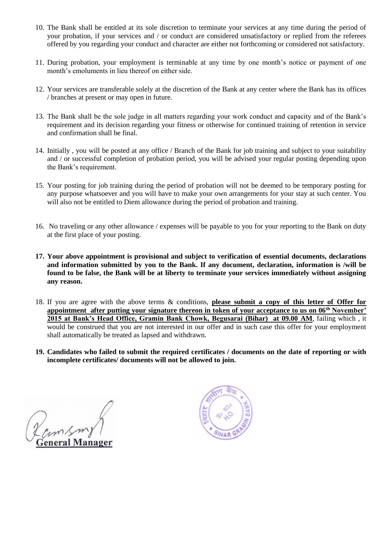- 10. The Bank shall be entitled at its sole discretion to terminate your services at any time during the period of your probation, if your services and / or conduct are considered unsatisfactory or replied from the referees offered by you regarding your conduct and character are either not forthcoming or considered not satisfactory.
- 11. During probation, your employment is terminable at any time by one month's notice or payment of one month's emoluments in lieu thereof on either side.
- 12. Your services are transferable solely at the discretion of the Bank at any center where the Bank has its offices / branches at present or may open in future.
- 13. The Bank shall be the sole judge in all matters regarding your work conduct and capacity and of the Bank's requirement and its decision regarding your fitness or otherwise for continued training of retention in service and confirmation shall be final.
- 14. Initially , you will be posted at any office / Branch of the Bank for job training and subject to your suitability and / or successful completion of probation period, you will be advised your regular posting depending upon the Bank's requirement.
- 15. Your posting for job training during the period of probation will not be deemed to be temporary posting for any purpose whatsoever and you will have to make your own arrangements for your stay at such center. You will also not be entitled to Diem allowance during the period of probation and training.
- 16. No traveling or any other allowance / expenses will be payable to you for your reporting to the Bank on duty at the first place of your posting.
- **17. Your above appointment is provisional and subject to verification of essential documents, declarations and information submitted by you to the Bank. If any document, declaration, information is /will be found to be false, the Bank will be at liberty to terminate your services immediately without assigning any reason.**
- 18. If you are agree with the above terms & conditions, **please submit a copy of this letter of Offer for appointment after putting your signature thereon in token of your acceptance to us on 06th November' 2015 at Bank's Head Office, Gramin Bank Chowk, Begusarai (Bihar) at 09.00 AM**, failing which , it would be construed that you are not interested in our offer and in such case this offer for your employment shall automatically be treated as lapsed and withdrawn.
- **19. Candidates who failed to submit the required certificates / documents on the date of reporting or with incomplete certificates/ documents will not be allowed to join.**

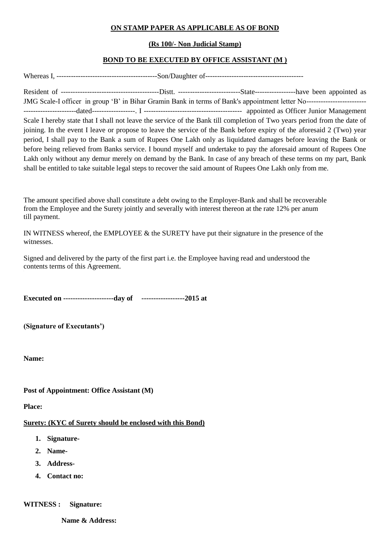#### **ON STAMP PAPER AS APPLICABLE AS OF BOND**

#### **(Rs 100/- Non Judicial Stamp)**

#### **BOND TO BE EXECUTED BY OFFICE ASSISTANT (M )**

Whereas I, ------------------------------------------Son/Daughter of-----------------------------------------

Resident of -----------------------------------------Distt. --------------------------State-----------------have been appointed as JMG Scale-I officer in group 'B' in Bihar Gramin Bank in terms of Bank's appointment letter No------------------------- ----------------------dated------------------. I ----------------------------------------- appointed as Officer Junior Management

Scale I hereby state that I shall not leave the service of the Bank till completion of Two years period from the date of joining. In the event I leave or propose to leave the service of the Bank before expiry of the aforesaid 2 (Two) year period, I shall pay to the Bank a sum of Rupees One Lakh only as liquidated damages before leaving the Bank or before being relieved from Banks service. I bound myself and undertake to pay the aforesaid amount of Rupees One Lakh only without any demur merely on demand by the Bank. In case of any breach of these terms on my part, Bank shall be entitled to take suitable legal steps to recover the said amount of Rupees One Lakh only from me.

The amount specified above shall constitute a debt owing to the Employer-Bank and shall be recoverable from the Employee and the Surety jointly and severally with interest thereon at the rate 12% per anum till payment.

IN WITNESS whereof, the EMPLOYEE  $&$  the SURETY have put their signature in the presence of the witnesses.

Signed and delivered by the party of the first part i.e. the Employee having read and understood the contents terms of this Agreement.

**Executed on ---------------------day of ------------------2015 at**

**(Signature of Executants')** 

**Name:**

#### **Post of Appointment: Office Assistant (M)**

**Place:**

#### **Surety: (KYC of Surety should be enclosed with this Bond)**

- **1. Signature-**
- **2. Name-**
- **3. Address-**
- **4. Contact no:**

**WITNESS : Signature:** 

 **Name & Address:**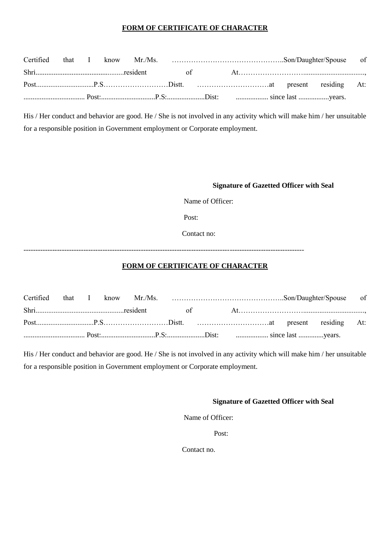#### **FORM OF CERTIFICATE OF CHARACTER**

His / Her conduct and behavior are good. He / She is not involved in any activity which will make him / her unsuitable for a responsible position in Government employment or Corporate employment.

#### **Signature of Gazetted Officer with Seal**

Name of Officer:

Post:

Contact no:

---------------------------------------------------------------------------------------------------------------------

#### **FORM OF CERTIFICATE OF CHARACTER**

His / Her conduct and behavior are good. He / She is not involved in any activity which will make him / her unsuitable for a responsible position in Government employment or Corporate employment.

#### **Signature of Gazetted Officer with Seal**

Name of Officer:

Post:

Contact no.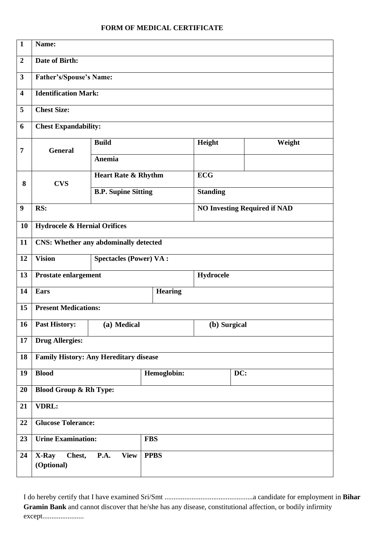#### **FORM OF MEDICAL CERTIFICATE**

| $\mathbf{1}$            | Name:                                          |                                     |                |                 |        |  |  |  |  |  |  |
|-------------------------|------------------------------------------------|-------------------------------------|----------------|-----------------|--------|--|--|--|--|--|--|
| $\boldsymbol{2}$        | Date of Birth:                                 |                                     |                |                 |        |  |  |  |  |  |  |
| $\mathbf{3}$            | Father's/Spouse's Name:                        |                                     |                |                 |        |  |  |  |  |  |  |
| $\overline{\mathbf{4}}$ | <b>Identification Mark:</b>                    |                                     |                |                 |        |  |  |  |  |  |  |
| 5                       | <b>Chest Size:</b>                             |                                     |                |                 |        |  |  |  |  |  |  |
| 6                       | <b>Chest Expandability:</b>                    |                                     |                |                 |        |  |  |  |  |  |  |
| 7                       | <b>General</b>                                 | <b>Build</b>                        |                | Height          | Weight |  |  |  |  |  |  |
|                         |                                                | Anemia                              |                |                 |        |  |  |  |  |  |  |
| 8                       | <b>CVS</b>                                     | <b>Heart Rate &amp; Rhythm</b>      |                | <b>ECG</b>      |        |  |  |  |  |  |  |
|                         |                                                | <b>B.P. Supine Sitting</b>          |                | <b>Standing</b> |        |  |  |  |  |  |  |
| 9                       | RS:                                            | <b>NO Investing Required if NAD</b> |                |                 |        |  |  |  |  |  |  |
| 10                      | <b>Hydrocele &amp; Hernial Orifices</b>        |                                     |                |                 |        |  |  |  |  |  |  |
| 11                      | <b>CNS: Whether any abdominally detected</b>   |                                     |                |                 |        |  |  |  |  |  |  |
| 12                      | <b>Vision</b><br><b>Spectacles (Power) VA:</b> |                                     |                |                 |        |  |  |  |  |  |  |
| 13                      | <b>Prostate enlargement</b><br>Hydrocele       |                                     |                |                 |        |  |  |  |  |  |  |
| 14                      | <b>Ears</b>                                    |                                     | <b>Hearing</b> |                 |        |  |  |  |  |  |  |
| 15                      | <b>Present Medications:</b>                    |                                     |                |                 |        |  |  |  |  |  |  |
| 16                      | <b>Past History:</b>                           | (a) Medical                         |                | (b) Surgical    |        |  |  |  |  |  |  |
| 17                      | <b>Drug Allergies:</b>                         |                                     |                |                 |        |  |  |  |  |  |  |
| 18                      | <b>Family History: Any Hereditary disease</b>  |                                     |                |                 |        |  |  |  |  |  |  |
| 19                      | <b>Blood</b>                                   |                                     | Hemoglobin:    |                 | DC:    |  |  |  |  |  |  |
| 20                      | <b>Blood Group &amp; Rh Type:</b>              |                                     |                |                 |        |  |  |  |  |  |  |
| 21                      | <b>VDRL:</b>                                   |                                     |                |                 |        |  |  |  |  |  |  |
| 22                      | <b>Glucose Tolerance:</b>                      |                                     |                |                 |        |  |  |  |  |  |  |
| 23                      | <b>Urine Examination:</b>                      |                                     | <b>FBS</b>     |                 |        |  |  |  |  |  |  |
| 24                      | X-Ray<br>Chest,<br>(Optional)                  | <b>P.A.</b><br><b>View</b>          | <b>PPBS</b>    |                 |        |  |  |  |  |  |  |
|                         |                                                |                                     |                |                 |        |  |  |  |  |  |  |

I do hereby certify that I have examined Sri/Smt .................................................a candidate for employment in **Bihar Gramin Bank** and cannot discover that he/she has any disease, constitutional affection, or bodily infirmity except.......................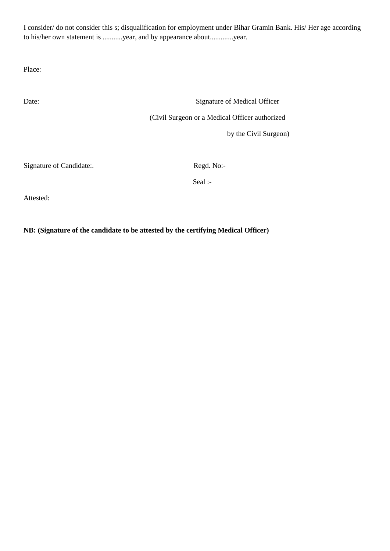I consider/ do not consider this s; disqualification for employment under Bihar Gramin Bank. His/ Her age according to his/her own statement is ...........year, and by appearance about.............year.

Place:

Date: Signature of Medical Officer (Civil Surgeon or a Medical Officer authorized

by the Civil Surgeon)

Signature of Candidate:. Regd. No:-

Seal :-

Attested:

**NB: (Signature of the candidate to be attested by the certifying Medical Officer)**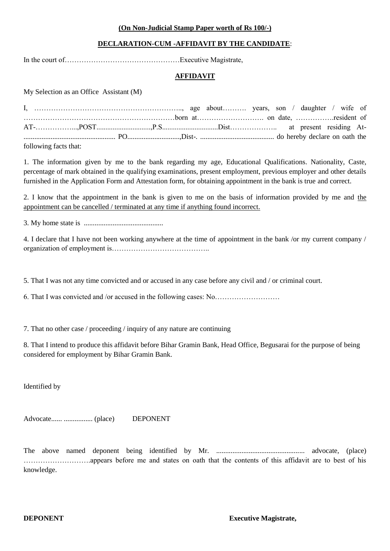#### **(On Non-Judicial Stamp Paper worth of Rs 100/-)**

#### **DECLARATION-CUM -AFFIDAVIT BY THE CANDIDATE**:

In the court of…………………………………………Executive Magistrate,

#### **AFFIDAVIT**

My Selection as an Office Assistant (M)

| following facts that: |  |  |  |  |  |  |
|-----------------------|--|--|--|--|--|--|

1. The information given by me to the bank regarding my age, Educational Qualifications. Nationality, Caste, percentage of mark obtained in the qualifying examinations, present employment, previous employer and other details furnished in the Application Form and Attestation form, for obtaining appointment in the bank is true and correct.

2. I know that the appointment in the bank is given to me on the basis of information provided by me and the appointment can be cancelled / terminated at any time if anything found incorrect.

3. My home state is ............................................

4. I declare that I have not been working anywhere at the time of appointment in the bank /or my current company / organization of employment is…………………………………..

5. That I was not any time convicted and or accused in any case before any civil and / or criminal court.

6. That I was convicted and /or accused in the following cases: No………………………

7. That no other case / proceeding / inquiry of any nature are continuing

8. That I intend to produce this affidavit before Bihar Gramin Bank, Head Office, Begusarai for the purpose of being considered for employment by Bihar Gramin Bank.

Identified by

Advocate...... ................ (place) DEPONENT

The above named deponent being identified by Mr. ................................................. advocate, (place) ……………………….appears before me and states on oath that the contents of this affidavit are to best of his knowledge.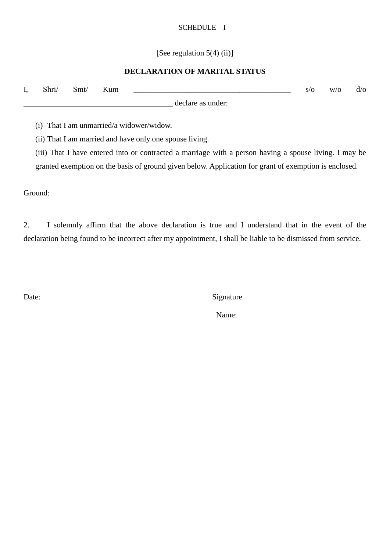#### SCHEDULE – I

[See regulation 5(4) (ii)]

#### **DECLARATION OF MARITAL STATUS**

| д, | Shri/ | Smt/ | Kum<br>the contract of the contract of the contract of |                   | S/O | W/O | d/O |
|----|-------|------|--------------------------------------------------------|-------------------|-----|-----|-----|
|    |       |      |                                                        | declare as under: |     |     |     |

(i) That I am unmarried/a widower/widow.

(ii) That I am married and have only one spouse living.

(iii) That I have entered into or contracted a marriage with a person having a spouse living. I may be granted exemption on the basis of ground given below. Application for grant of exemption is enclosed.

Ground:

2. I solemnly affirm that the above declaration is true and I understand that in the event of the declaration being found to be incorrect after my appointment, I shall be liable to be dismissed from service.

Date: Signature

Name: Name: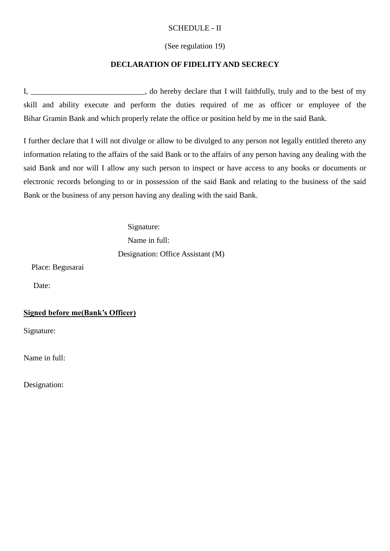#### SCHEDULE - II

#### (See regulation 19)

#### **DECLARATION OF FIDELITY AND SECRECY**

I, \_\_\_\_\_\_\_\_\_\_\_\_\_\_\_\_\_\_\_\_\_\_\_, do hereby declare that I will faithfully, truly and to the best of my skill and ability execute and perform the duties required of me as officer or employee of the Bihar Gramin Bank and which properly relate the office or position held by me in the said Bank.

I further declare that I will not divulge or allow to be divulged to any person not legally entitled thereto any information relating to the affairs of the said Bank or to the affairs of any person having any dealing with the said Bank and nor will I allow any such person to inspect or have access to any books or documents or electronic records belonging to or in possession of the said Bank and relating to the business of the said Bank or the business of any person having any dealing with the said Bank.

> Signature: Name in full: Designation: Office Assistant (M)

Place: Begusarai

Date:

#### **Signed before me(Bank's Officer)**

Signature:

Name in full:

Designation: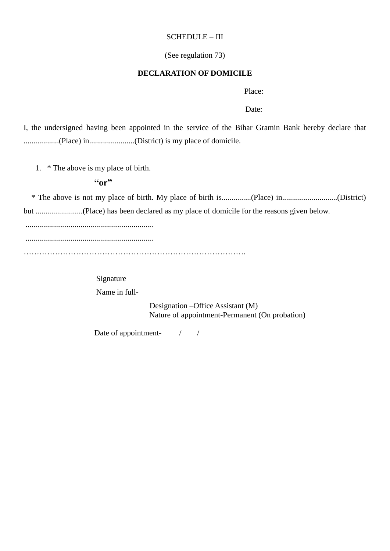#### SCHEDULE – III

#### (See regulation 73)

#### **DECLARATION OF DOMICILE**

Place:

Date:

I, the undersigned having been appointed in the service of the Bihar Gramin Bank hereby declare that ..................(Place) in.......................(District) is my place of domicile.

1. \* The above is my place of birth.

#### **"or"**

 \* The above is not my place of birth. My place of birth is...............(Place) in............................(District) but ........................(Place) has been declared as my place of domicile for the reasons given below.

.................................................................

.................................................................

………………………………………………………………………….

 Signature Name in full-

> Designation –Office Assistant (M) Nature of appointment-Permanent (On probation)

Date of appointment-  $\frac{1}{2}$  /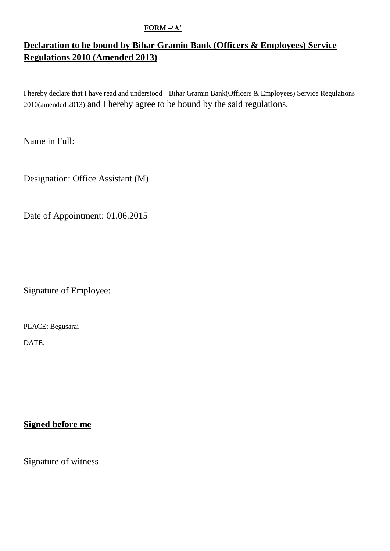#### **FORM –'A'**

## **Declaration to be bound by Bihar Gramin Bank (Officers & Employees) Service Regulations 2010 (Amended 2013)**

I hereby declare that I have read and understood Bihar Gramin Bank(Officers & Employees) Service Regulations 2010(amended 2013) and I hereby agree to be bound by the said regulations.

Name in Full:

Designation: Office Assistant (M)

Date of Appointment: 01.06.2015

Signature of Employee:

PLACE: Begusarai

DATE:

## **Signed before me**

Signature of witness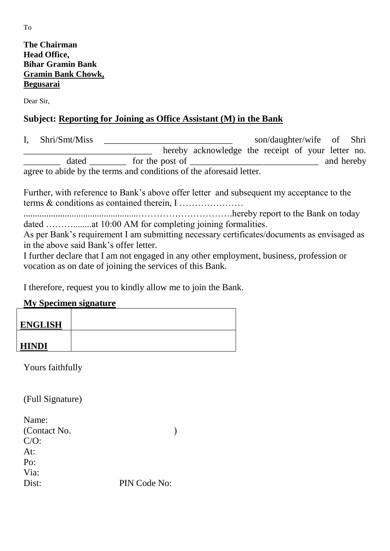## **The Chairman Head Office, Bihar Gramin Bank Gramin Bank Chowk, Begusarai**

Dear Sir,

## **Subject: Reporting for Joining as Office Assistant (M) in the Bank**

I, Shri/Smt/Miss son/daughter/wife of Shri \_\_\_\_\_\_\_\_\_\_\_\_\_\_\_\_\_\_\_\_\_\_\_\_\_\_\_\_ hereby acknowledge the receipt of your letter no.  $\text{dated}$   $\qquad \qquad$  for the post of  $\qquad \qquad$ agree to abide by the terms and conditions of the aforesaid letter.

Further, with reference to Bank's above offer letter and subsequent my acceptance to the terms & conditions as contained therein, I …………………

..................................................………………………….hereby report to the Bank on today dated ………........at 10:00 AM for completing joining formalities.

As per Bank's requirement I am submitting necessary certificates/documents as envisaged as in the above said Bank's offer letter.

I further declare that I am not engaged in any other employment, business, profession or vocation as on date of joining the services of this Bank.

I therefore, request you to kindly allow me to join the Bank.

## **My Specimen signature**

| <b>ENGLISH</b> |  |
|----------------|--|
| <b>HINDI</b>   |  |

Yours faithfully

(Full Signature)

| Name:        |              |
|--------------|--------------|
| (Contact No. |              |
| $C/O$ :      |              |
| At:          |              |
| Po:          |              |
| Via:         |              |
| Dist:        | PIN Code No: |